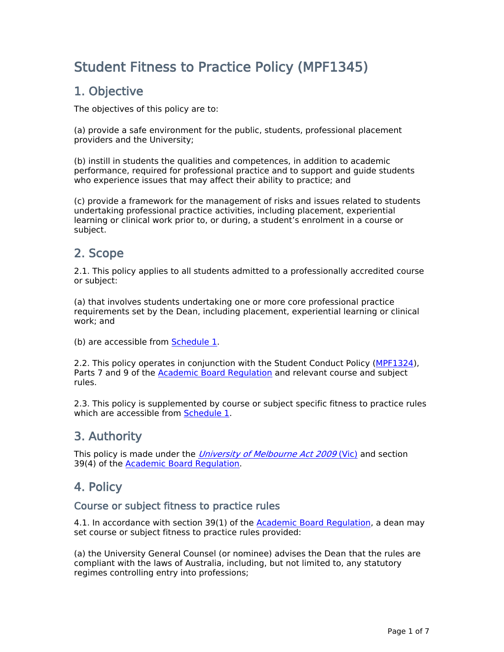# **Student Fitness to Practice Policy (MPF1345)**

## **1. Objective**

The objectives of this policy are to:

(a) provide a safe environment for the public, students, professional placement providers and the University;

(b) instill in students the qualities and competences, in addition to academic performance, required for professional practice and to support and guide students who experience issues that may affect their ability to practice; and

(c) provide a framework for the management of risks and issues related to students undertaking professional practice activities, including placement, experiential learning or clinical work prior to, or during, a student's enrolment in a course or subject.

## **2. Scope**

2.1. This policy applies to all students admitted to a professionally accredited course or subject:

(a) that involves students undertaking one or more core professional practice requirements set by the Dean, including placement, experiential learning or clinical work; and

(b) are accessible from [Schedule](https://about.unimelb.edu.au/strategy/governance/regulatory-framework/policies/policy-library-docs/schedule-1-student-fitness-to-practice-policy-mpf1345) [1.](https://about.unimelb.edu.au/strategy/governance/regulatory-framework/policies/policy-library-docs/schedule-1-student-fitness-to-practice-policy-mpf1345)

2.2. This policy operates in conjunction with the Student Conduct Policy ([MPF1324\)](file:/usr/local/tomcat/MPF1324), Parts 7 and 9 of the [Academic](https://about.unimelb.edu.au/strategy/governance/regulatory-framework/legislative-framework) [Board](https://about.unimelb.edu.au/strategy/governance/regulatory-framework/legislative-framework) [Regulation](https://about.unimelb.edu.au/strategy/governance/regulatory-framework/legislative-framework) and relevant course and subject rules.

2.3. This policy is supplemented by course or subject specific fitness to practice rules which are accessible from [Schedule](https://about.unimelb.edu.au/strategy/governance/regulatory-framework/policies/policy-library-docs/schedule-1-student-fitness-to-practice-policy-mpf1345) [1.](https://about.unimelb.edu.au/strategy/governance/regulatory-framework/policies/policy-library-docs/schedule-1-student-fitness-to-practice-policy-mpf1345)

## **3. Authority**

This policy is made under the *[University](https://about.unimelb.edu.au/strategy/governance/regulatory-framework/legislative-framework) [of](https://about.unimelb.edu.au/strategy/governance/regulatory-framework/legislative-framework) [Melbourne](https://about.unimelb.edu.au/strategy/governance/regulatory-framework/legislative-framework) [Act](https://about.unimelb.edu.au/strategy/governance/regulatory-framework/legislative-framework) [2009](https://about.unimelb.edu.au/strategy/governance/regulatory-framework/legislative-framework)* [\(Vic\)](https://about.unimelb.edu.au/strategy/governance/regulatory-framework/legislative-framework) and section 39(4) of the [Academic](https://about.unimelb.edu.au/strategy/governance/regulatory-framework/legislative-framework) [Board](https://about.unimelb.edu.au/strategy/governance/regulatory-framework/legislative-framework) [Regulation](https://about.unimelb.edu.au/strategy/governance/regulatory-framework/legislative-framework).

## **4. Policy**

### **Course or subject fitness to practice rules**

4.1. In accordance with section 39(1) of the [Academic](https://about.unimelb.edu.au/strategy/governance/regulatory-framework/legislative-framework) [Board](https://about.unimelb.edu.au/strategy/governance/regulatory-framework/legislative-framework) [Regulation,](https://about.unimelb.edu.au/strategy/governance/regulatory-framework/legislative-framework) a dean may set course or subject fitness to practice rules provided:

(a) the University General Counsel (or nominee) advises the Dean that the rules are compliant with the laws of Australia, including, but not limited to, any statutory regimes controlling entry into professions;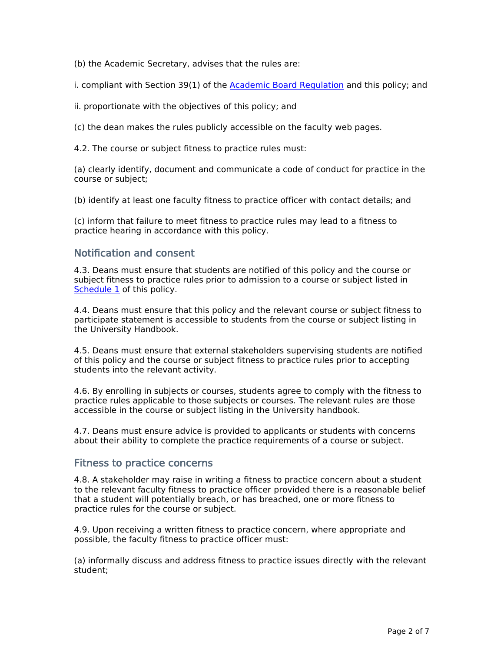(b) the Academic Secretary, advises that the rules are:

i. compliant with Section 39(1) of the **[Academic](https://about.unimelb.edu.au/strategy/governance/regulatory-framework/legislative-framework) [Board](https://about.unimelb.edu.au/strategy/governance/regulatory-framework/legislative-framework) [Regulation](https://about.unimelb.edu.au/strategy/governance/regulatory-framework/legislative-framework)** and this policy; and

ii. proportionate with the objectives of this policy; and

(c) the dean makes the rules publicly accessible on the faculty web pages.

4.2. The course or subject fitness to practice rules must:

(a) clearly identify, document and communicate a code of conduct for practice in the course or subject;

(b) identify at least one faculty fitness to practice officer with contact details; and

(c) inform that failure to meet fitness to practice rules may lead to a fitness to practice hearing in accordance with this policy.

#### **Notification and consent**

4.3. Deans must ensure that students are notified of this policy and the course or subject fitness to practice rules prior to admission to a course or subject listed in [Schedule](https://about.unimelb.edu.au/strategy/governance/regulatory-framework/policies/policy-library-docs/schedule-1-student-fitness-to-practice-policy-mpf1345) [1](https://about.unimelb.edu.au/strategy/governance/regulatory-framework/policies/policy-library-docs/schedule-1-student-fitness-to-practice-policy-mpf1345) of this policy.

4.4. Deans must ensure that this policy and the relevant course or subject fitness to participate statement is accessible to students from the course or subject listing in the University Handbook.

4.5. Deans must ensure that external stakeholders supervising students are notified of this policy and the course or subject fitness to practice rules prior to accepting students into the relevant activity.

4.6. By enrolling in subjects or courses, students agree to comply with the fitness to practice rules applicable to those subjects or courses. The relevant rules are those accessible in the course or subject listing in the University handbook.

4.7. Deans must ensure advice is provided to applicants or students with concerns about their ability to complete the practice requirements of a course or subject.

#### **Fitness to practice concerns**

4.8. A stakeholder may raise in writing a fitness to practice concern about a student to the relevant faculty fitness to practice officer provided there is a reasonable belief that a student will potentially breach, or has breached, one or more fitness to practice rules for the course or subject.

4.9. Upon receiving a written fitness to practice concern, where appropriate and possible, the faculty fitness to practice officer must:

(a) informally discuss and address fitness to practice issues directly with the relevant student;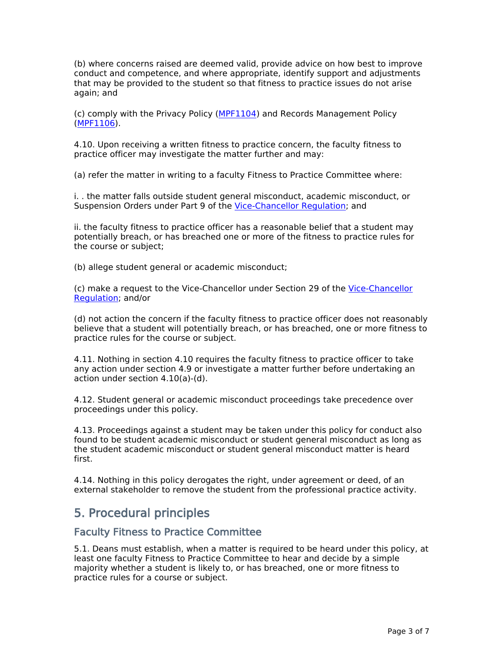(b) where concerns raised are deemed valid, provide advice on how best to improve conduct and competence, and where appropriate, identify support and adjustments that may be provided to the student so that fitness to practice issues do not arise again; and

(c) comply with the Privacy Policy ([MPF1104\)](file:/usr/local/tomcat/MPF1104) and Records Management Policy ([MPF1106\)](file:/usr/local/tomcat/MPF1106).

4.10. Upon receiving a written fitness to practice concern, the faculty fitness to practice officer may investigate the matter further and may:

(a) refer the matter in writing to a faculty Fitness to Practice Committee where:

i. . the matter falls outside student general misconduct, academic misconduct, or Suspension Orders under Part 9 of the [Vice-Chancellor](https://about.unimelb.edu.au/__data/assets/pdf_file/0032/19778/Vice-Chancellor-Regulation.pdf) [Regulation](https://about.unimelb.edu.au/__data/assets/pdf_file/0032/19778/Vice-Chancellor-Regulation.pdf); and

ii. the faculty fitness to practice officer has a reasonable belief that a student may potentially breach, or has breached one or more of the fitness to practice rules for the course or subject;

(b) allege student general or academic misconduct;

(c) make a request to the Vice-Chancellor under Section 29 of the [Vice-Chancellor](https://about.unimelb.edu.au/__data/assets/pdf_file/0032/19778/Vice-Chancellor-Regulation.pdf) [Regulation;](https://about.unimelb.edu.au/__data/assets/pdf_file/0032/19778/Vice-Chancellor-Regulation.pdf) and/or

(d) not action the concern if the faculty fitness to practice officer does not reasonably believe that a student will potentially breach, or has breached, one or more fitness to practice rules for the course or subject.

4.11. Nothing in section 4.10 requires the faculty fitness to practice officer to take any action under section 4.9 or investigate a matter further before undertaking an action under section 4.10(a)-(d).

4.12. Student general or academic misconduct proceedings take precedence over proceedings under this policy.

4.13. Proceedings against a student may be taken under this policy for conduct also found to be student academic misconduct or student general misconduct as long as the student academic misconduct or student general misconduct matter is heard first.

4.14. Nothing in this policy derogates the right, under agreement or deed, of an external stakeholder to remove the student from the professional practice activity.

## **5. Procedural principles**

#### **Faculty Fitness to Practice Committee**

5.1. Deans must establish, when a matter is required to be heard under this policy, at least one faculty Fitness to Practice Committee to hear and decide by a simple majority whether a student is likely to, or has breached, one or more fitness to practice rules for a course or subject.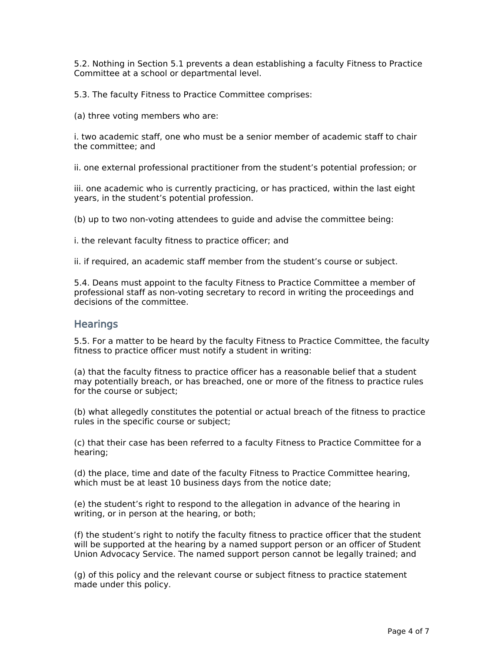5.2. Nothing in Section 5.1 prevents a dean establishing a faculty Fitness to Practice Committee at a school or departmental level.

5.3. The faculty Fitness to Practice Committee comprises:

(a) three voting members who are:

i. two academic staff, one who must be a senior member of academic staff to chair the committee; and

ii. one external professional practitioner from the student's potential profession; or

iii. one academic who is currently practicing, or has practiced, within the last eight years, in the student's potential profession.

(b) up to two non-voting attendees to guide and advise the committee being:

i. the relevant faculty fitness to practice officer; and

ii. if required, an academic staff member from the student's course or subject.

5.4. Deans must appoint to the faculty Fitness to Practice Committee a member of professional staff as non-voting secretary to record in writing the proceedings and decisions of the committee.

#### **Hearings**

5.5. For a matter to be heard by the faculty Fitness to Practice Committee, the faculty fitness to practice officer must notify a student in writing:

(a) that the faculty fitness to practice officer has a reasonable belief that a student may potentially breach, or has breached, one or more of the fitness to practice rules for the course or subject;

(b) what allegedly constitutes the potential or actual breach of the fitness to practice rules in the specific course or subject;

(c) that their case has been referred to a faculty Fitness to Practice Committee for a hearing;

(d) the place, time and date of the faculty Fitness to Practice Committee hearing, which must be at least 10 business days from the notice date;

(e) the student's right to respond to the allegation in advance of the hearing in writing, or in person at the hearing, or both;

(f) the student's right to notify the faculty fitness to practice officer that the student will be supported at the hearing by a named support person or an officer of Student Union Advocacy Service. The named support person cannot be legally trained; and

(g) of this policy and the relevant course or subject fitness to practice statement made under this policy.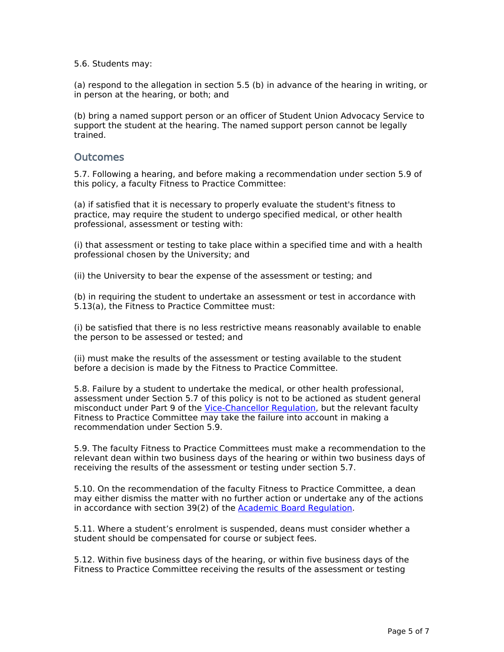5.6. Students may:

(a) respond to the allegation in section 5.5 (b) in advance of the hearing in writing, or in person at the hearing, or both; and

(b) bring a named support person or an officer of Student Union Advocacy Service to support the student at the hearing. The named support person cannot be legally trained.

#### **Outcomes**

5.7. Following a hearing, and before making a recommendation under section 5.9 of this policy, a faculty Fitness to Practice Committee:

(a) if satisfied that it is necessary to properly evaluate the student's fitness to practice, may require the student to undergo specified medical, or other health professional, assessment or testing with:

(i) that assessment or testing to take place within a specified time and with a health professional chosen by the University; and

(ii) the University to bear the expense of the assessment or testing; and

(b) in requiring the student to undertake an assessment or test in accordance with 5.13(a), the Fitness to Practice Committee must:

(i) be satisfied that there is no less restrictive means reasonably available to enable the person to be assessed or tested; and

(ii) must make the results of the assessment or testing available to the student before a decision is made by the Fitness to Practice Committee.

5.8. Failure by a student to undertake the medical, or other health professional, assessment under Section 5.7 of this policy is not to be actioned as student general misconduct under Part 9 of the [Vice-Chancellor](https://about.unimelb.edu.au/__data/assets/pdf_file/0032/19778/Vice-Chancellor-Regulation.pdf) [Regulation,](https://about.unimelb.edu.au/__data/assets/pdf_file/0032/19778/Vice-Chancellor-Regulation.pdf) but the relevant faculty Fitness to Practice Committee may take the failure into account in making a recommendation under Section 5.9.

5.9. The faculty Fitness to Practice Committees must make a recommendation to the relevant dean within two business days of the hearing or within two business days of receiving the results of the assessment or testing under section 5.7.

5.10. On the recommendation of the faculty Fitness to Practice Committee, a dean may either dismiss the matter with no further action or undertake any of the actions in accordance with section 39(2) of the [Academic](https://about.unimelb.edu.au/strategy/governance/regulatory-framework/legislative-framework) [Board](https://about.unimelb.edu.au/strategy/governance/regulatory-framework/legislative-framework) [Regulation](https://about.unimelb.edu.au/strategy/governance/regulatory-framework/legislative-framework).

5.11. Where a student's enrolment is suspended, deans must consider whether a student should be compensated for course or subject fees.

5.12. Within five business days of the hearing, or within five business days of the Fitness to Practice Committee receiving the results of the assessment or testing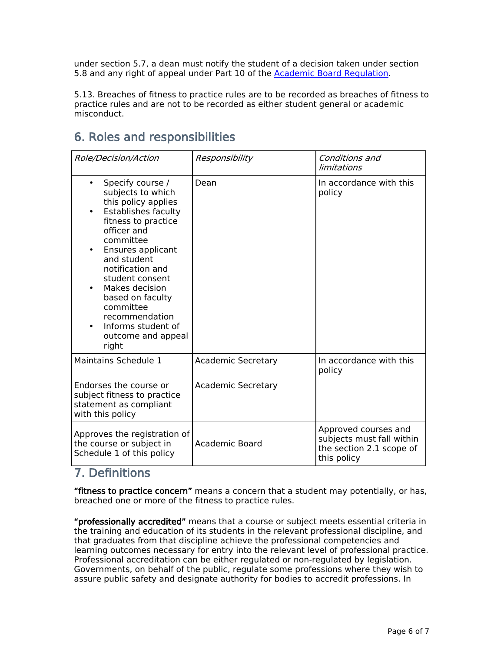under section 5.7, a dean must notify the student of a decision taken under section 5.8 and any right of appeal under Part 10 of the [Academic](https://about.unimelb.edu.au/strategy/governance/regulatory-framework/legislative-framework) [Board](https://about.unimelb.edu.au/strategy/governance/regulatory-framework/legislative-framework) [Regulation.](https://about.unimelb.edu.au/strategy/governance/regulatory-framework/legislative-framework)

5.13. Breaches of fitness to practice rules are to be recorded as breaches of fitness to practice rules and are not to be recorded as either student general or academic misconduct.

## **6. Roles and responsibilities**

| Role/Decision/Action                                                                                                                                                                                                                                                                                                                                                                                   | Responsibility            | Conditions and<br>limitations                                                                |  |
|--------------------------------------------------------------------------------------------------------------------------------------------------------------------------------------------------------------------------------------------------------------------------------------------------------------------------------------------------------------------------------------------------------|---------------------------|----------------------------------------------------------------------------------------------|--|
| Specify course /<br>$\bullet$<br>subjects to which<br>this policy applies<br><b>Establishes faculty</b><br>$\bullet$<br>fitness to practice<br>officer and<br>committee<br>Ensures applicant<br>$\bullet$<br>and student<br>notification and<br>student consent<br>Makes decision<br>$\bullet$<br>based on faculty<br>committee<br>recommendation<br>Informs student of<br>outcome and appeal<br>right | Dean                      | In accordance with this<br>policy                                                            |  |
| Maintains Schedule 1                                                                                                                                                                                                                                                                                                                                                                                   | <b>Academic Secretary</b> | In accordance with this<br>policy                                                            |  |
| Endorses the course or<br>subject fitness to practice<br>statement as compliant<br>with this policy                                                                                                                                                                                                                                                                                                    | <b>Academic Secretary</b> |                                                                                              |  |
| Approves the registration of<br>the course or subject in<br>Schedule 1 of this policy                                                                                                                                                                                                                                                                                                                  | Academic Board            | Approved courses and<br>subjects must fall within<br>the section 2.1 scope of<br>this policy |  |

## **7. Definitions**

**"fitness to practice concern"** means a concern that a student may potentially, or has, breached one or more of the fitness to practice rules.

**"professionally accredited"** means that a course or subject meets essential criteria in the training and education of its students in the relevant professional discipline, and that graduates from that discipline achieve the professional competencies and learning outcomes necessary for entry into the relevant level of professional practice. Professional accreditation can be either regulated or non-regulated by legislation. Governments, on behalf of the public, regulate some professions where they wish to assure public safety and designate authority for bodies to accredit professions. In